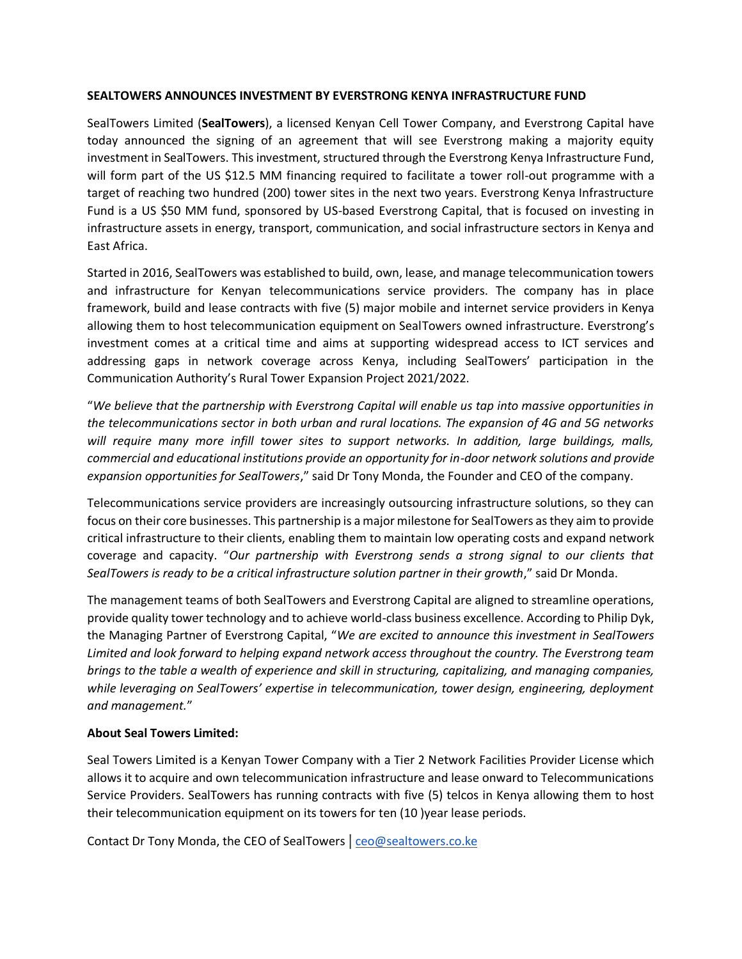## **SEALTOWERS ANNOUNCES INVESTMENT BY EVERSTRONG KENYA INFRASTRUCTURE FUND**

SealTowers Limited (**SealTowers**), a licensed Kenyan Cell Tower Company, and Everstrong Capital have today announced the signing of an agreement that will see Everstrong making a majority equity investment in SealTowers. This investment, structured through the Everstrong Kenya Infrastructure Fund, will form part of the US \$12.5 MM financing required to facilitate a tower roll-out programme with a target of reaching two hundred (200) tower sites in the next two years. Everstrong Kenya Infrastructure Fund is a US \$50 MM fund, sponsored by US-based Everstrong Capital, that is focused on investing in infrastructure assets in energy, transport, communication, and social infrastructure sectors in Kenya and East Africa.

Started in 2016, SealTowers was established to build, own, lease, and manage telecommunication towers and infrastructure for Kenyan telecommunications service providers. The company has in place framework, build and lease contracts with five (5) major mobile and internet service providers in Kenya allowing them to host telecommunication equipment on SealTowers owned infrastructure. Everstrong's investment comes at a critical time and aims at supporting widespread access to ICT services and addressing gaps in network coverage across Kenya, including SealTowers' participation in the Communication Authority's Rural Tower Expansion Project 2021/2022.

"*We believe that the partnership with Everstrong Capital will enable us tap into massive opportunities in the telecommunications sector in both urban and rural locations. The expansion of 4G and 5G networks will require many more infill tower sites to support networks. In addition, large buildings, malls, commercial and educational institutions provide an opportunity for in-door network solutions and provide expansion opportunities for SealTowers*," said Dr Tony Monda, the Founder and CEO of the company.

Telecommunications service providers are increasingly outsourcing infrastructure solutions, so they can focus on their core businesses. This partnership is a major milestone for SealTowers as they aim to provide critical infrastructure to their clients, enabling them to maintain low operating costs and expand network coverage and capacity. "*Our partnership with Everstrong sends a strong signal to our clients that*  SealTowers is ready to be a critical infrastructure solution partner in their growth," said Dr Monda.

The management teams of both SealTowers and Everstrong Capital are aligned to streamline operations, provide quality tower technology and to achieve world-class business excellence. According to Philip Dyk, the Managing Partner of Everstrong Capital, "*We are excited to announce this investment in SealTowers Limited and look forward to helping expand network access throughout the country. The Everstrong team brings to the table a wealth of experience and skill in structuring, capitalizing, and managing companies, while leveraging on SealTowers' expertise in telecommunication, tower design, engineering, deployment and management.*"

## **About Seal Towers Limited:**

Seal Towers Limited is a Kenyan Tower Company with a Tier 2 Network Facilities Provider License which allows it to acquire and own telecommunication infrastructure and lease onward to Telecommunications Service Providers. SealTowers has running contracts with five (5) telcos in Kenya allowing them to host their telecommunication equipment on its towers for ten (10 )year lease periods.

Contact Dr Tony Monda, the CEO of SealTowers | [ceo@sealtowers.co.ke](mailto:ceo@sealtowers.co.ke)